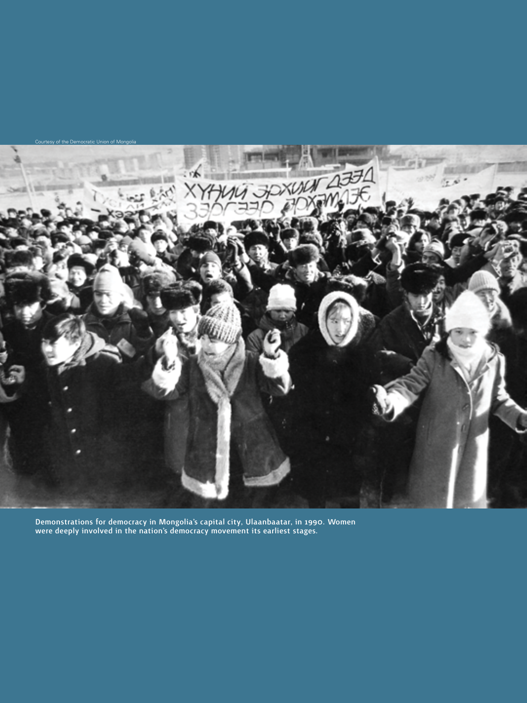

Demonstrations for democracy in Mongolia's capital city, Ulaanbaatar, in 1990. Women were deeply involved in the nation's democracy movement its earliest stages.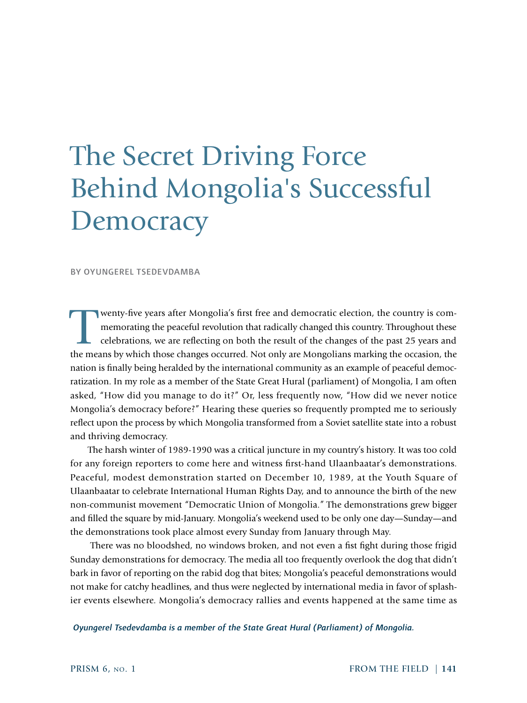# The Secret Driving Force Behind Mongolia's Successful **Democracy**

BY OYUNGEREL TSEDEVDAMBA

Wenty-five years after Mongolia's first free and democratic election, the country is com-<br>memorating the peaceful revolution that radically changed this country. Throughout these<br>celebrations, we are reflecting on both the memorating the peaceful revolution that radically changed this country. Throughout these celebrations, we are reflecting on both the result of the changes of the past 25 years and the means by which those changes occurred. Not only are Mongolians marking the occasion, the nation is finally being heralded by the international community as an example of peaceful democratization. In my role as a member of the State Great Hural (parliament) of Mongolia, I am often asked, "How did you manage to do it?" Or, less frequently now, "How did we never notice Mongolia's democracy before?" Hearing these queries so frequently prompted me to seriously reflect upon the process by which Mongolia transformed from a Soviet satellite state into a robust and thriving democracy.

The harsh winter of 1989-1990 was a critical juncture in my country's history. It was too cold for any foreign reporters to come here and witness first-hand Ulaanbaatar's demonstrations. Peaceful, modest demonstration started on December 10, 1989, at the Youth Square of Ulaanbaatar to celebrate International Human Rights Day, and to announce the birth of the new non-communist movement "Democratic Union of Mongolia." The demonstrations grew bigger and filled the square by mid-January. Mongolia's weekend used to be only one day—Sunday—and the demonstrations took place almost every Sunday from January through May.

 There was no bloodshed, no windows broken, and not even a fist fight during those frigid Sunday demonstrations for democracy. The media all too frequently overlook the dog that didn't bark in favor of reporting on the rabid dog that bites; Mongolia's peaceful demonstrations would not make for catchy headlines, and thus were neglected by international media in favor of splashier events elsewhere. Mongolia's democracy rallies and events happened at the same time as

 *Oyungerel Tsedevdamba is a member of the State Great Hural (Parliament) of Mongolia.*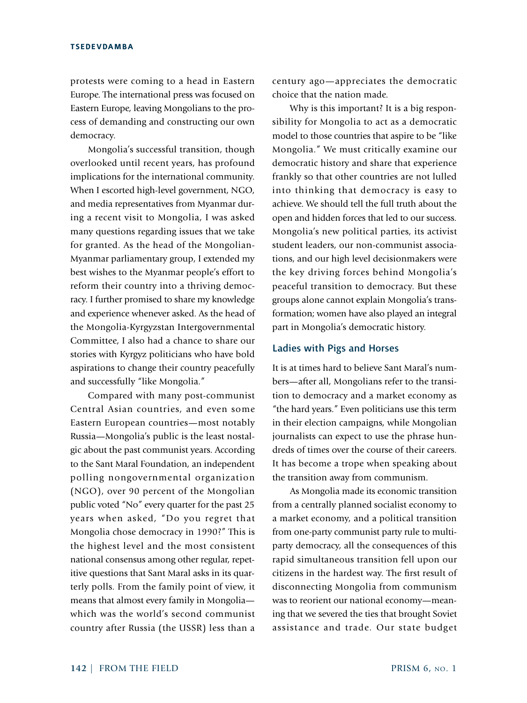protests were coming to a head in Eastern Europe. The international press was focused on Eastern Europe, leaving Mongolians to the process of demanding and constructing our own democracy.

Mongolia's successful transition, though overlooked until recent years, has profound implications for the international community. When I escorted high-level government, NGO, and media representatives from Myanmar during a recent visit to Mongolia, I was asked many questions regarding issues that we take for granted. As the head of the Mongolian-Myanmar parliamentary group, I extended my best wishes to the Myanmar people's effort to reform their country into a thriving democracy. I further promised to share my knowledge and experience whenever asked. As the head of the Mongolia-Kyrgyzstan Intergovernmental Committee, I also had a chance to share our stories with Kyrgyz politicians who have bold aspirations to change their country peacefully and successfully "like Mongolia."

Compared with many post-communist Central Asian countries, and even some Eastern European countries—most notably Russia—Mongolia's public is the least nostalgic about the past communist years. According to the Sant Maral Foundation, an independent polling nongovernmental organization (NGO), over 90 percent of the Mongolian public voted "No" every quarter for the past 25 years when asked, "Do you regret that Mongolia chose democracy in 1990?" This is the highest level and the most consistent national consensus among other regular, repetitive questions that Sant Maral asks in its quarterly polls. From the family point of view, it means that almost every family in Mongolia which was the world's second communist country after Russia (the USSR) less than a century ago—appreciates the democratic choice that the nation made.

Why is this important? It is a big responsibility for Mongolia to act as a democratic model to those countries that aspire to be "like Mongolia." We must critically examine our democratic history and share that experience frankly so that other countries are not lulled into thinking that democracy is easy to achieve. We should tell the full truth about the open and hidden forces that led to our success. Mongolia's new political parties, its activist student leaders, our non-communist associations, and our high level decisionmakers were the key driving forces behind Mongolia's peaceful transition to democracy. But these groups alone cannot explain Mongolia's transformation; women have also played an integral part in Mongolia's democratic history.

## Ladies with Pigs and Horses

It is at times hard to believe Sant Maral's numbers—after all, Mongolians refer to the transition to democracy and a market economy as "the hard years." Even politicians use this term in their election campaigns, while Mongolian journalists can expect to use the phrase hundreds of times over the course of their careers. It has become a trope when speaking about the transition away from communism.

As Mongolia made its economic transition from a centrally planned socialist economy to a market economy, and a political transition from one-party communist party rule to multiparty democracy, all the consequences of this rapid simultaneous transition fell upon our citizens in the hardest way. The first result of disconnecting Mongolia from communism was to reorient our national economy—meaning that we severed the ties that brought Soviet assistance and trade. Our state budget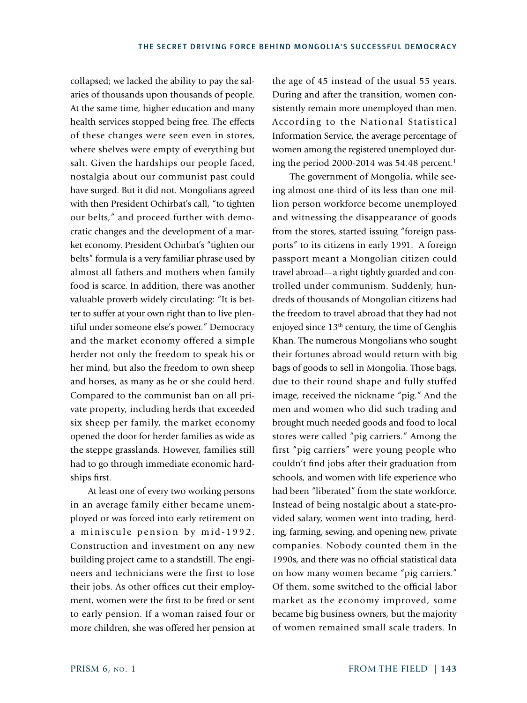collapsed; we lacked the ability to pay the salaries of thousands upon thousands of people. At the same time, higher education and many health services stopped being free. The effects of these changes were seen even in stores, where shelves were empty of everything but salt. Given the hardships our people faced, nostalgia about our communist past could have surged. But it did not. Mongolians agreed with then President Ochirbat's call, "to tighten our belts," and proceed further with democratic changes and the development of a market economy. President Ochirbat's "tighten our belts" formula is a very familiar phrase used by almost all fathers and mothers when family food is scarce. In addition, there was another valuable proverb widely circulating: "It is better to suffer at your own right than to live plentiful under someone else's power." Democracy and the market economy offered a simple herder not only the freedom to speak his or her mind, but also the freedom to own sheep and horses, as many as he or she could herd. Compared to the communist ban on all private property, including herds that exceeded six sheep per family, the market economy opened the door for herder families as wide as the steppe grasslands. However, families still had to go through immediate economic hardships first.

At least one of every two working persons in an average family either became unemployed or was forced into early retirement on a miniscule pension by mid-1992. Construction and investment on any new building project came to a standstill. The engineers and technicians were the first to lose their jobs. As other offices cut their employment, women were the first to be fired or sent to early pension. If a woman raised four or more children, she was offered her pension at the age of 45 instead of the usual 55 years. During and after the transition, women consistently remain more unemployed than men. According to the National Statistical Information Service, the average percentage of women among the registered unemployed during the period 2000-2014 was  $54.48$  percent.<sup>1</sup>

The government of Mongolia, while seeing almost one-third of its less than one million person workforce become unemployed and witnessing the disappearance of goods from the stores, started issuing "foreign passports" to its citizens in early 1991. A foreign passport meant a Mongolian citizen could travel abroad—a right tightly guarded and controlled under communism. Suddenly, hundreds of thousands of Mongolian citizens had the freedom to travel abroad that they had not enjoyed since  $13<sup>th</sup>$  century, the time of Genghis Khan. The numerous Mongolians who sought their fortunes abroad would return with big bags of goods to sell in Mongolia. Those bags, due to their round shape and fully stuffed image, received the nickname "pig." And the men and women who did such trading and brought much needed goods and food to local stores were called "pig carriers." Among the first "pig carriers" were young people who couldn't find jobs after their graduation from schools, and women with life experience who had been "liberated" from the state workforce. Instead of being nostalgic about a state-provided salary, women went into trading, herding, farming, sewing, and opening new, private companies. Nobody counted them in the 1990s, and there was no official statistical data on how many women became "pig carriers." Of them, some switched to the official labor market as the economy improved, some became big business owners, but the majority of women remained small scale traders. In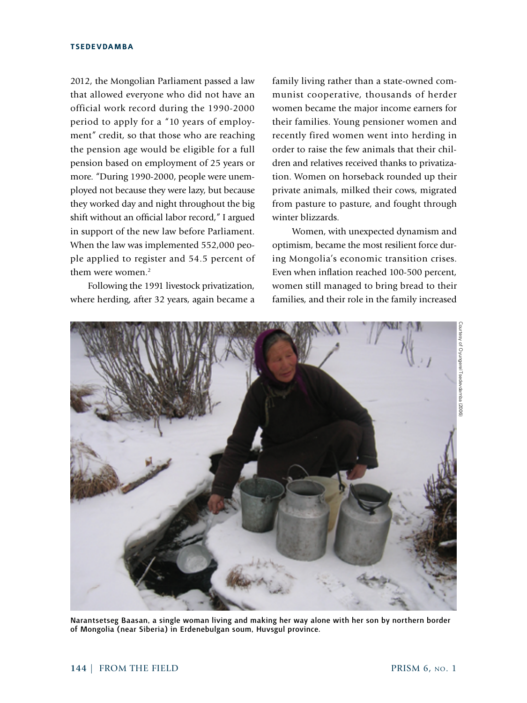2012, the Mongolian Parliament passed a law that allowed everyone who did not have an official work record during the 1990-2000 period to apply for a "10 years of employment" credit, so that those who are reaching the pension age would be eligible for a full pension based on employment of 25 years or more. "During 1990-2000, people were unemployed not because they were lazy, but because they worked day and night throughout the big shift without an official labor record," I argued in support of the new law before Parliament. When the law was implemented 552,000 people applied to register and 54.5 percent of them were women.<sup>2</sup>

Following the 1991 livestock privatization, where herding, after 32 years, again became a

family living rather than a state-owned communist cooperative, thousands of herder women became the major income earners for their families. Young pensioner women and recently fired women went into herding in order to raise the few animals that their children and relatives received thanks to privatization. Women on horseback rounded up their private animals, milked their cows, migrated from pasture to pasture, and fought through winter blizzards.

 Women, with unexpected dynamism and optimism, became the most resilient force during Mongolia's economic transition crises. Even when inflation reached 100-500 percent, women still managed to bring bread to their families, and their role in the family increased



Narantsetseg Baasan, a single woman living and making her way alone with her son by northern border of Mongolia (near Siberia) in Erdenebulgan soum, Huvsgul province.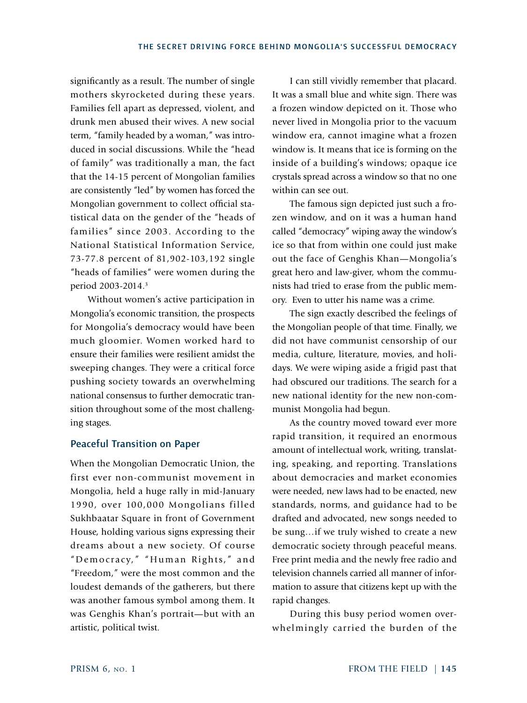significantly as a result. The number of single mothers skyrocketed during these years. Families fell apart as depressed, violent, and drunk men abused their wives. A new social term, "family headed by a woman," was introduced in social discussions. While the "head of family" was traditionally a man, the fact that the 14-15 percent of Mongolian families are consistently "led" by women has forced the Mongolian government to collect official statistical data on the gender of the "heads of families" since 2003. According to the National Statistical Information Service, 73-77.8 percent of 81,902-103,192 single "heads of families" were women during the period 2003-2014.3

Without women's active participation in Mongolia's economic transition, the prospects for Mongolia's democracy would have been much gloomier. Women worked hard to ensure their families were resilient amidst the sweeping changes. They were a critical force pushing society towards an overwhelming national consensus to further democratic transition throughout some of the most challenging stages.

## Peaceful Transition on Paper

When the Mongolian Democratic Union, the first ever non-communist movement in Mongolia, held a huge rally in mid-January 1990, over 100,000 Mongolians filled Sukhbaatar Square in front of Government House, holding various signs expressing their dreams about a new society. Of course "Democracy," "Human Rights," and "Freedom," were the most common and the loudest demands of the gatherers, but there was another famous symbol among them. It was Genghis Khan's portrait—but with an artistic, political twist.

I can still vividly remember that placard. It was a small blue and white sign. There was a frozen window depicted on it. Those who never lived in Mongolia prior to the vacuum window era, cannot imagine what a frozen window is. It means that ice is forming on the inside of a building's windows; opaque ice crystals spread across a window so that no one within can see out.

The famous sign depicted just such a frozen window, and on it was a human hand called "democracy" wiping away the window's ice so that from within one could just make out the face of Genghis Khan—Mongolia's great hero and law-giver, whom the communists had tried to erase from the public memory. Even to utter his name was a crime.

The sign exactly described the feelings of the Mongolian people of that time. Finally, we did not have communist censorship of our media, culture, literature, movies, and holidays. We were wiping aside a frigid past that had obscured our traditions. The search for a new national identity for the new non-communist Mongolia had begun.

As the country moved toward ever more rapid transition, it required an enormous amount of intellectual work, writing, translating, speaking, and reporting. Translations about democracies and market economies were needed, new laws had to be enacted, new standards, norms, and guidance had to be drafted and advocated, new songs needed to be sung…if we truly wished to create a new democratic society through peaceful means. Free print media and the newly free radio and television channels carried all manner of information to assure that citizens kept up with the rapid changes.

During this busy period women overwhelmingly carried the burden of the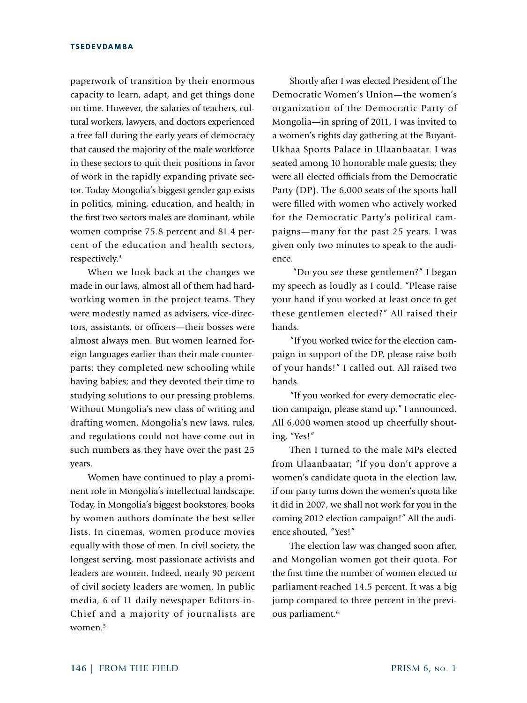paperwork of transition by their enormous capacity to learn, adapt, and get things done on time. However, the salaries of teachers, cultural workers, lawyers, and doctors experienced a free fall during the early years of democracy that caused the majority of the male workforce in these sectors to quit their positions in favor of work in the rapidly expanding private sector. Today Mongolia's biggest gender gap exists in politics, mining, education, and health; in the first two sectors males are dominant, while women comprise 75.8 percent and 81.4 percent of the education and health sectors, respectively.4

When we look back at the changes we made in our laws, almost all of them had hardworking women in the project teams. They were modestly named as advisers, vice-directors, assistants, or officers—their bosses were almost always men. But women learned foreign languages earlier than their male counterparts; they completed new schooling while having babies; and they devoted their time to studying solutions to our pressing problems. Without Mongolia's new class of writing and drafting women, Mongolia's new laws, rules, and regulations could not have come out in such numbers as they have over the past 25 years.

Women have continued to play a prominent role in Mongolia's intellectual landscape. Today, in Mongolia's biggest bookstores, books by women authors dominate the best seller lists. In cinemas, women produce movies equally with those of men. In civil society, the longest serving, most passionate activists and leaders are women. Indeed, nearly 90 percent of civil society leaders are women. In public media, 6 of 11 daily newspaper Editors-in-Chief and a majority of journalists are women.<sup>5</sup>

Shortly after I was elected President of The Democratic Women's Union—the women's organization of the Democratic Party of Mongolia—in spring of 2011, I was invited to a women's rights day gathering at the Buyant-Ukhaa Sports Palace in Ulaanbaatar. I was seated among 10 honorable male guests; they were all elected officials from the Democratic Party (DP). The 6,000 seats of the sports hall were filled with women who actively worked for the Democratic Party's political campaigns—many for the past 25 years. I was given only two minutes to speak to the audience.

 "Do you see these gentlemen?" I began my speech as loudly as I could. "Please raise your hand if you worked at least once to get these gentlemen elected?" All raised their hands.

"If you worked twice for the election campaign in support of the DP, please raise both of your hands!" I called out. All raised two hands.

"If you worked for every democratic election campaign, please stand up," I announced. All 6,000 women stood up cheerfully shouting, "Yes!"

Then I turned to the male MPs elected from Ulaanbaatar; "If you don't approve a women's candidate quota in the election law, if our party turns down the women's quota like it did in 2007, we shall not work for you in the coming 2012 election campaign!" All the audience shouted, "Yes!"

The election law was changed soon after, and Mongolian women got their quota. For the first time the number of women elected to parliament reached 14.5 percent. It was a big jump compared to three percent in the previous parliament.<sup>6</sup>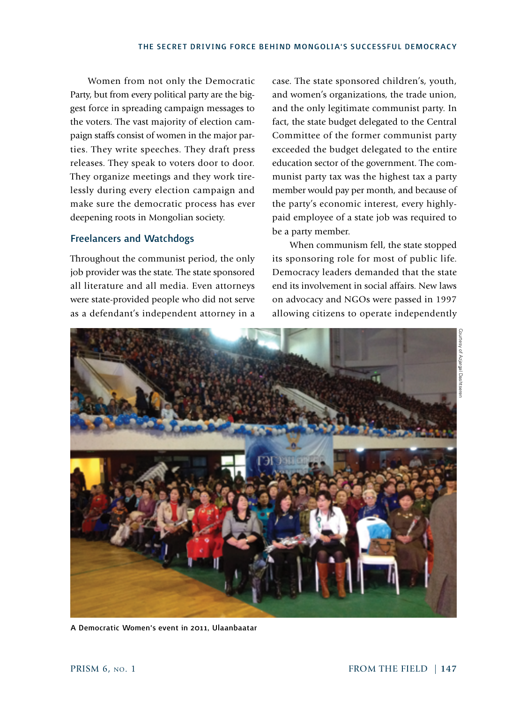Women from not only the Democratic Party, but from every political party are the biggest force in spreading campaign messages to the voters. The vast majority of election campaign staffs consist of women in the major parties. They write speeches. They draft press releases. They speak to voters door to door. They organize meetings and they work tirelessly during every election campaign and make sure the democratic process has ever deepening roots in Mongolian society.

## Freelancers and Watchdogs

Throughout the communist period, the only job provider was the state. The state sponsored all literature and all media. Even attorneys were state-provided people who did not serve as a defendant's independent attorney in a case. The state sponsored children's, youth, and women's organizations, the trade union, and the only legitimate communist party. In fact, the state budget delegated to the Central Committee of the former communist party exceeded the budget delegated to the entire education sector of the government. The communist party tax was the highest tax a party member would pay per month, and because of the party's economic interest, every highlypaid employee of a state job was required to be a party member.

When communism fell, the state stopped its sponsoring role for most of public life. Democracy leaders demanded that the state end its involvement in social affairs. New laws on advocacy and NGOs were passed in 1997 allowing citizens to operate independently



A Democratic Women's event in 2011, Ulaanbaatar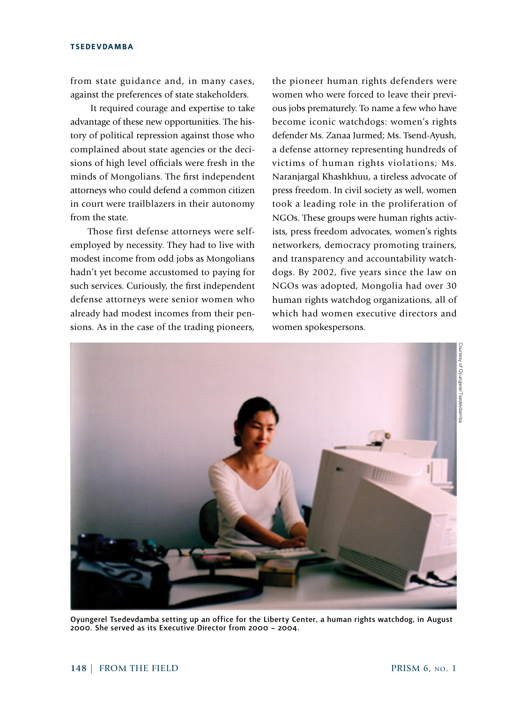from state guidance and, in many cases, against the preferences of state stakeholders.

 It required courage and expertise to take advantage of these new opportunities. The history of political repression against those who complained about state agencies or the decisions of high level officials were fresh in the minds of Mongolians. The first independent attorneys who could defend a common citizen in court were trailblazers in their autonomy from the state.

Those first defense attorneys were selfemployed by necessity. They had to live with modest income from odd jobs as Mongolians hadn't yet become accustomed to paying for such services. Curiously, the first independent defense attorneys were senior women who already had modest incomes from their pensions. As in the case of the trading pioneers, the pioneer human rights defenders were women who were forced to leave their previous jobs prematurely. To name a few who have become iconic watchdogs: women's rights defender Ms. Zanaa Jurmed; Ms. Tsend-Ayush, a defense attorney representing hundreds of victims of human rights violations; Ms. Naranjargal Khashkhuu, a tireless advocate of press freedom. In civil society as well, women took a leading role in the proliferation of NGOs. These groups were human rights activists, press freedom advocates, women's rights networkers, democracy promoting trainers, and transparency and accountability watchdogs. By 2002, five years since the law on NGOs was adopted, Mongolia had over 30 human rights watchdog organizations, all of which had women executive directors and women spokespersons.



Oyungerel Tsedevdamba setting up an office for the Liberty Center, a human rights watchdog, in August 2000. She served as its Executive Director from 2000 – 2004.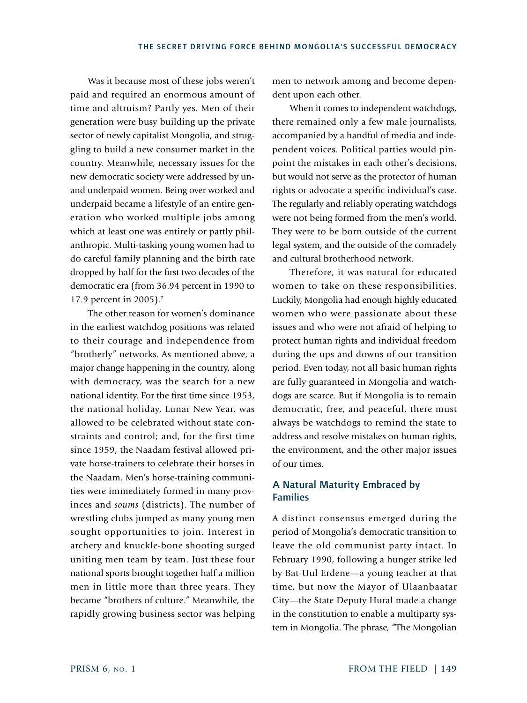Was it because most of these jobs weren't paid and required an enormous amount of time and altruism? Partly yes. Men of their generation were busy building up the private sector of newly capitalist Mongolia, and struggling to build a new consumer market in the country. Meanwhile, necessary issues for the new democratic society were addressed by unand underpaid women. Being over worked and underpaid became a lifestyle of an entire generation who worked multiple jobs among which at least one was entirely or partly philanthropic. Multi-tasking young women had to do careful family planning and the birth rate dropped by half for the first two decades of the democratic era (from 36.94 percent in 1990 to 17.9 percent in 2005).7

The other reason for women's dominance in the earliest watchdog positions was related to their courage and independence from "brotherly" networks. As mentioned above, a major change happening in the country, along with democracy, was the search for a new national identity. For the first time since 1953, the national holiday, Lunar New Year, was allowed to be celebrated without state constraints and control; and, for the first time since 1959, the Naadam festival allowed private horse-trainers to celebrate their horses in the Naadam. Men's horse-training communities were immediately formed in many provinces and *soums* (districts). The number of wrestling clubs jumped as many young men sought opportunities to join. Interest in archery and knuckle-bone shooting surged uniting men team by team. Just these four national sports brought together half a million men in little more than three years. They became "brothers of culture." Meanwhile, the rapidly growing business sector was helping

men to network among and become dependent upon each other.

When it comes to independent watchdogs, there remained only a few male journalists, accompanied by a handful of media and independent voices. Political parties would pinpoint the mistakes in each other's decisions, but would not serve as the protector of human rights or advocate a specific individual's case. The regularly and reliably operating watchdogs were not being formed from the men's world. They were to be born outside of the current legal system, and the outside of the comradely and cultural brotherhood network.

Therefore, it was natural for educated women to take on these responsibilities. Luckily, Mongolia had enough highly educated women who were passionate about these issues and who were not afraid of helping to protect human rights and individual freedom during the ups and downs of our transition period. Even today, not all basic human rights are fully guaranteed in Mongolia and watchdogs are scarce. But if Mongolia is to remain democratic, free, and peaceful, there must always be watchdogs to remind the state to address and resolve mistakes on human rights, the environment, and the other major issues of our times.

## A Natural Maturity Embraced by Families

A distinct consensus emerged during the period of Mongolia's democratic transition to leave the old communist party intact. In February 1990, following a hunger strike led by Bat-Uul Erdene—a young teacher at that time, but now the Mayor of Ulaanbaatar City—the State Deputy Hural made a change in the constitution to enable a multiparty system in Mongolia. The phrase, "The Mongolian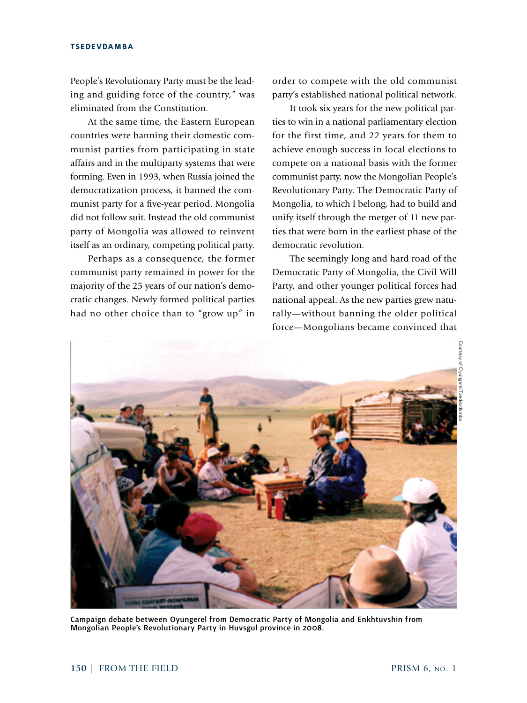People's Revolutionary Party must be the leading and guiding force of the country," was eliminated from the Constitution.

At the same time, the Eastern European countries were banning their domestic communist parties from participating in state affairs and in the multiparty systems that were forming. Even in 1993, when Russia joined the democratization process, it banned the communist party for a five-year period. Mongolia did not follow suit. Instead the old communist party of Mongolia was allowed to reinvent itself as an ordinary, competing political party.

Perhaps as a consequence, the former communist party remained in power for the majority of the 25 years of our nation's democratic changes. Newly formed political parties had no other choice than to "grow up" in

order to compete with the old communist party's established national political network.

It took six years for the new political parties to win in a national parliamentary election for the first time, and 22 years for them to achieve enough success in local elections to compete on a national basis with the former communist party, now the Mongolian People's Revolutionary Party. The Democratic Party of Mongolia, to which I belong, had to build and unify itself through the merger of 11 new parties that were born in the earliest phase of the democratic revolution.

The seemingly long and hard road of the Democratic Party of Mongolia, the Civil Will Party, and other younger political forces had national appeal. As the new parties grew naturally—without banning the older political force—Mongolians became convinced that



Campaign debate between Oyungerel from Democratic Party of Mongolia and Enkhtuvshin from Mongolian People's Revolutionary Party in Huvsgul province in 2008.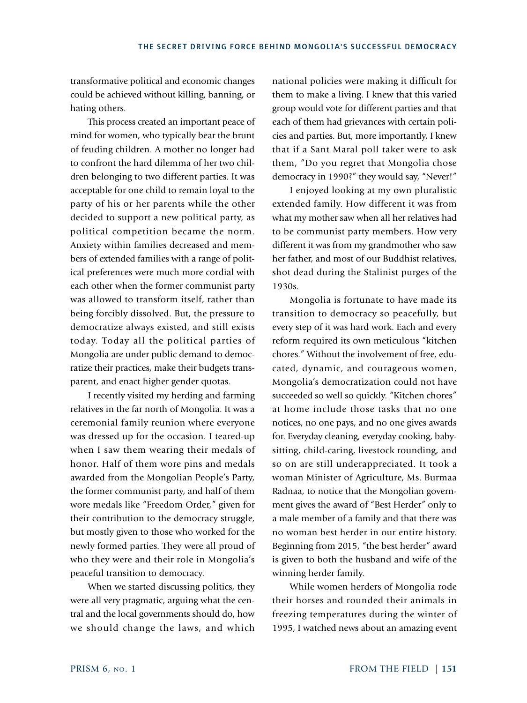transformative political and economic changes could be achieved without killing, banning, or hating others.

This process created an important peace of mind for women, who typically bear the brunt of feuding children. A mother no longer had to confront the hard dilemma of her two children belonging to two different parties. It was acceptable for one child to remain loyal to the party of his or her parents while the other decided to support a new political party, as political competition became the norm. Anxiety within families decreased and members of extended families with a range of political preferences were much more cordial with each other when the former communist party was allowed to transform itself, rather than being forcibly dissolved. But, the pressure to democratize always existed, and still exists today. Today all the political parties of Mongolia are under public demand to democratize their practices, make their budgets transparent, and enact higher gender quotas.

I recently visited my herding and farming relatives in the far north of Mongolia. It was a ceremonial family reunion where everyone was dressed up for the occasion. I teared-up when I saw them wearing their medals of honor. Half of them wore pins and medals awarded from the Mongolian People's Party, the former communist party, and half of them wore medals like "Freedom Order," given for their contribution to the democracy struggle, but mostly given to those who worked for the newly formed parties. They were all proud of who they were and their role in Mongolia's peaceful transition to democracy.

When we started discussing politics, they were all very pragmatic, arguing what the central and the local governments should do, how we should change the laws, and which national policies were making it difficult for them to make a living. I knew that this varied group would vote for different parties and that each of them had grievances with certain policies and parties. But, more importantly, I knew that if a Sant Maral poll taker were to ask them, "Do you regret that Mongolia chose democracy in 1990?" they would say, "Never!"

I enjoyed looking at my own pluralistic extended family. How different it was from what my mother saw when all her relatives had to be communist party members. How very different it was from my grandmother who saw her father, and most of our Buddhist relatives, shot dead during the Stalinist purges of the 1930s.

Mongolia is fortunate to have made its transition to democracy so peacefully, but every step of it was hard work. Each and every reform required its own meticulous "kitchen chores." Without the involvement of free, educated, dynamic, and courageous women, Mongolia's democratization could not have succeeded so well so quickly. "Kitchen chores" at home include those tasks that no one notices, no one pays, and no one gives awards for. Everyday cleaning, everyday cooking, babysitting, child-caring, livestock rounding, and so on are still underappreciated. It took a woman Minister of Agriculture, Ms. Burmaa Radnaa, to notice that the Mongolian government gives the award of "Best Herder" only to a male member of a family and that there was no woman best herder in our entire history. Beginning from 2015, "the best herder" award is given to both the husband and wife of the winning herder family.

While women herders of Mongolia rode their horses and rounded their animals in freezing temperatures during the winter of 1995, I watched news about an amazing event